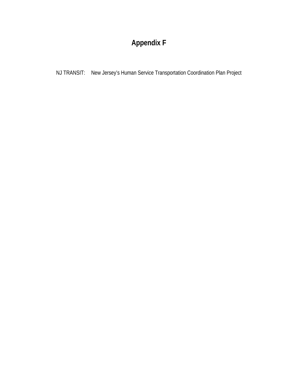# **Appendix F**

NJ TRANSIT: New Jersey's Human Service Transportation Coordination Plan Project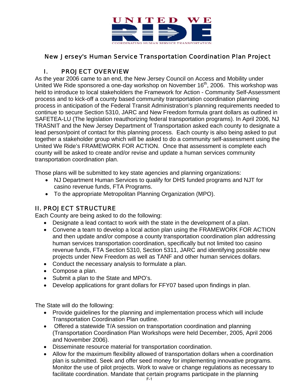

# New Jersey's Human Service Transportation Coordination Plan Project

# I. PROJECT OVERVIEW

As the year 2006 came to an end, the New Jersey Council on Access and Mobility under United We Ride sponsored a one-day workshop on November 16<sup>th</sup>, 2006. This workshop was held to introduce to local stakeholders the Framework for Action - Community Self-Assessment process and to kick-off a county based community transportation coordination planning process in anticipation of the Federal Transit Administration's planning requirements needed to continue to secure Section 5310, JARC and New Freedom formula grant dollars as outlined in SAFETEA-LU (The legislation reauthorizing federal transportation programs). In April 2006, NJ TRASNIT and the New Jersey Department of Transportation asked each county to designate a lead person/point of contact for this planning process. Each county is also being asked to put together a stakeholder group which will be asked to do a community self-assessment using the United We Ride's FRAMEWORK FOR ACTION. Once that assessment is complete each county will be asked to create and/or revise and update a human services community transportation coordination plan.

Those plans will be submitted to key state agencies and planning organizations:

- NJ Department Human Services to qualify for DHS funded programs and NJT for casino revenue funds, FTA Programs.
- To the appropriate Metropolitan Planning Organization (MPO).

## II. PROJECT STRUCTURE

Each County are being asked to do the following:

- Designate a lead contact to work with the state in the development of a plan.
- Convene a team to develop a local action plan using the FRAMEWORK FOR ACTION and then update and/or compose a county transportation coordination plan addressing human services transportation coordination, specifically but not limited too casino revenue funds, FTA Section 5310, Section 5311, JARC and identifying possible new projects under New Freedom as well as TANF and other human services dollars.
- Conduct the necessary analysis to formulate a plan.
- Compose a plan.
- Submit a plan to the State and MPO's.
- Develop applications for grant dollars for FFY07 based upon findings in plan.

The State will do the following:

- Provide guidelines for the planning and implementation process which will include Transportation Coordination Plan outline.
- Offered a statewide T/A session on transportation coordination and planning (Transportation Coordination Plan Workshops were held December, 2005, April 2006 and November 2006).
- Disseminate resource material for transportation coordination.
- Allow for the maximum flexibility allowed of transportation dollars when a coordination plan is submitted. Seek and offer seed money for implementing innovative programs. Monitor the use of pilot projects. Work to waive or change regulations as necessary to facilitate coordination. Mandate that certain programs participate in the planning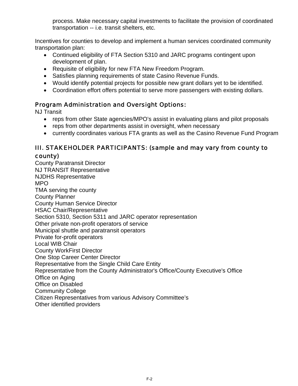process. Make necessary capital investments to facilitate the provision of coordinated transportation -- i.e. transit shelters, etc.

Incentives for counties to develop and implement a human services coordinated community transportation plan:

- Continued eligibility of FTA Section 5310 and JARC programs contingent upon development of plan.
- Requisite of eligibility for new FTA New Freedom Program.
- Satisfies planning requirements of state Casino Revenue Funds.
- Would identify potential projects for possible new grant dollars yet to be identified.
- Coordination effort offers potential to serve more passengers with existing dollars.

## Program Administration and Oversight Options:

NJ Transit

- reps from other State agencies/MPO's assist in evaluating plans and pilot proposals
- reps from other departments assist in oversight, when necessary
- currently coordinates various FTA grants as well as the Casino Revenue Fund Program

## III. STAKEHOLDER PARTICIPANTS: (sample and may vary from county to county)

County Paratransit Director NJ TRANSIT Representative NJDHS Representative MPO TMA serving the county County Planner County Human Service Director HSAC Chair/Representative Section 5310, Section 5311 and JARC operator representation Other private non-profit operators of service Municipal shuttle and paratransit operators Private for-profit operators Local WIB Chair County WorkFirst Director One Stop Career Center Director Representative from the Single Child Care Entity Representative from the County Administrator's Office/County Executive's Office Office on Aging Office on Disabled Community College Citizen Representatives from various Advisory Committee's Other identified providers